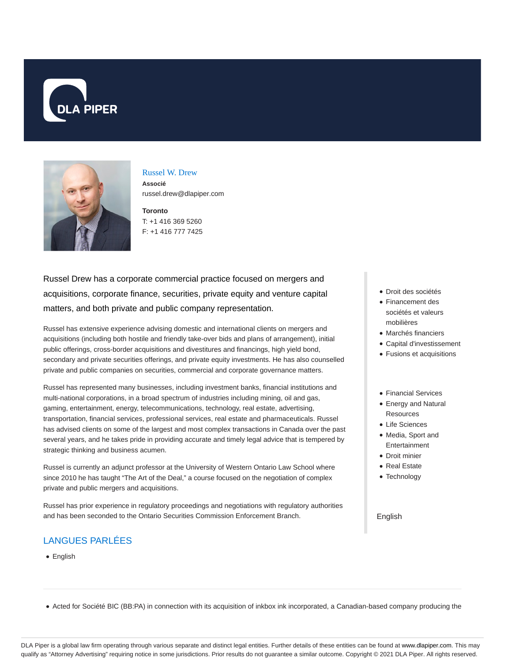



## Russel W. Drew **Associé**

russel.drew@dlapiper.com

**Toronto** T: +1 416 369 5260 F: +1 416 777 7425

Russel Drew has a corporate commercial practice focused on mergers and acquisitions, corporate finance, securities, private equity and venture capital matters, and both private and public company representation.

Russel has extensive experience advising domestic and international clients on mergers and acquisitions (including both hostile and friendly take-over bids and plans of arrangement), initial public offerings, cross-border acquisitions and divestitures and financings, high yield bond, secondary and private securities offerings, and private equity investments. He has also counselled private and public companies on securities, commercial and corporate governance matters.

Russel has represented many businesses, including investment banks, financial institutions and multi-national corporations, in a broad spectrum of industries including mining, oil and gas, gaming, entertainment, energy, telecommunications, technology, real estate, advertising, transportation, financial services, professional services, real estate and pharmaceuticals. Russel has advised clients on some of the largest and most complex transactions in Canada over the past several years, and he takes pride in providing accurate and timely legal advice that is tempered by strategic thinking and business acumen.

Russel is currently an adjunct professor at the University of Western Ontario Law School where since 2010 he has taught "The Art of the Deal," a course focused on the negotiation of complex private and public mergers and acquisitions.

Russel has prior experience in regulatory proceedings and negotiations with regulatory authorities and has been seconded to the Ontario Securities Commission Enforcement Branch.

# LANGUES PARLÉES

• English

- Droit des sociétés
- Financement des sociétés et valeurs mobilières
- Marchés financiers
- Capital d'investissement
- Fusions et acquisitions
- Financial Services
- Energy and Natural **Resources**
- Life Sciences
- Media, Sport and Entertainment
- Droit minier
- Real Estate
- Technology

#### English

• Acted for Société BIC (BB:PA) in connection with its acquisition of inkbox ink incorporated, a Canadian-based company producing the

DLA Piper is a global law firm operating through various separate and distinct legal entities. Further details of these entities can be found at www.dlapiper.com. This may qualify as "Attorney Advertising" requiring notice in some jurisdictions. Prior results do not guarantee a similar outcome. Copyright © 2021 DLA Piper. All rights reserved.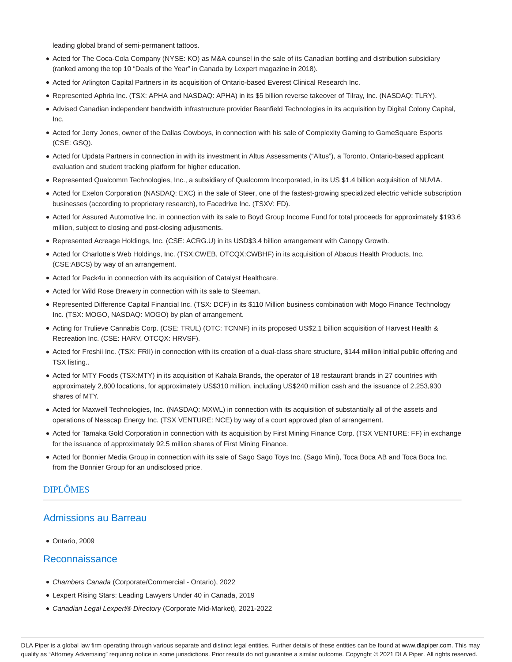leading global brand of semi-permanent tattoos.

- Acted for The Coca-Cola Company (NYSE: KO) as M&A counsel in the sale of its Canadian bottling and distribution subsidiary (ranked among the top 10 "Deals of the Year" in Canada by Lexpert magazine in 2018).
- Acted for Arlington Capital Partners in its acquisition of Ontario-based Everest Clinical Research Inc.
- Represented Aphria Inc. (TSX: APHA and NASDAQ: APHA) in its \$5 billion reverse takeover of Tilray, Inc. (NASDAQ: TLRY).
- Advised Canadian independent bandwidth infrastructure provider Beanfield Technologies in its acquisition by Digital Colony Capital, Inc.
- Acted for Jerry Jones, owner of the Dallas Cowboys, in connection with his sale of Complexity Gaming to GameSquare Esports (CSE: GSQ).
- Acted for Updata Partners in connection in with its investment in Altus Assessments ("Altus"), a Toronto, Ontario-based applicant evaluation and student tracking platform for higher education.
- Represented Qualcomm Technologies, Inc., a subsidiary of Qualcomm Incorporated, in its US \$1.4 billion acquisition of NUVIA.
- Acted for Exelon Corporation (NASDAQ: EXC) in the sale of Steer, one of the fastest-growing specialized electric vehicle subscription businesses (according to proprietary research), to Facedrive Inc. (TSXV: FD).
- Acted for Assured Automotive Inc. in connection with its sale to Boyd Group Income Fund for total proceeds for approximately \$193.6 million, subject to closing and post-closing adjustments.
- Represented Acreage Holdings, Inc. (CSE: ACRG.U) in its USD\$3.4 billion arrangement with Canopy Growth.
- Acted for Charlotte's Web Holdings, Inc. (TSX:CWEB, OTCQX:CWBHF) in its acquisition of Abacus Health Products, Inc. (CSE:ABCS) by way of an arrangement.
- Acted for Pack4u in connection with its acquisition of Catalyst Healthcare.
- Acted for Wild Rose Brewery in connection with its sale to Sleeman.
- Represented Difference Capital Financial Inc. (TSX: DCF) in its \$110 Million business combination with Mogo Finance Technology Inc. (TSX: MOGO, NASDAQ: MOGO) by plan of arrangement.
- Acting for Trulieve Cannabis Corp. (CSE: TRUL) (OTC: TCNNF) in its proposed US\$2.1 billion acquisition of Harvest Health & Recreation Inc. (CSE: HARV, OTCQX: HRVSF).
- Acted for Freshii Inc. (TSX: FRII) in connection with its creation of a dual-class share structure, \$144 million initial public offering and TSX listing..
- Acted for MTY Foods (TSX:MTY) in its acquisition of Kahala Brands, the operator of 18 restaurant brands in 27 countries with approximately 2,800 locations, for approximately US\$310 million, including US\$240 million cash and the issuance of 2,253,930 shares of MTY.
- Acted for Maxwell Technologies, Inc. (NASDAQ: MXWL) in connection with its acquisition of substantially all of the assets and operations of Nesscap Energy Inc. (TSX VENTURE: NCE) by way of a court approved plan of arrangement.
- Acted for Tamaka Gold Corporation in connection with its acquisition by First Mining Finance Corp. (TSX VENTURE: FF) in exchange for the issuance of approximately 92.5 million shares of First Mining Finance.
- Acted for Bonnier Media Group in connection with its sale of Sago Sago Toys Inc. (Sago Mini), Toca Boca AB and Toca Boca Inc. from the Bonnier Group for an undisclosed price.

## DIPLÔMES

#### Admissions au Barreau

Ontario, 2009

## Reconnaissance

- Chambers Canada (Corporate/Commercial Ontario), 2022
- Lexpert Rising Stars: Leading Lawyers Under 40 in Canada, 2019
- Canadian Legal Lexpert® Directory (Corporate Mid-Market), 2021-2022